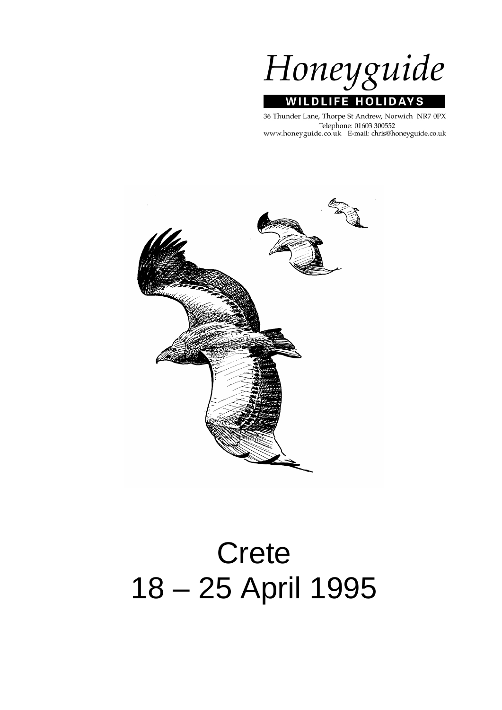

36 Thunder Lane, Thorpe St Andrew, Norwich NR7 0PX Telephone: 01603 300552 www.honeyguide.co.uk E-mail: chris@honeyguide.co.uk



# Crete 18 – 25 April 1995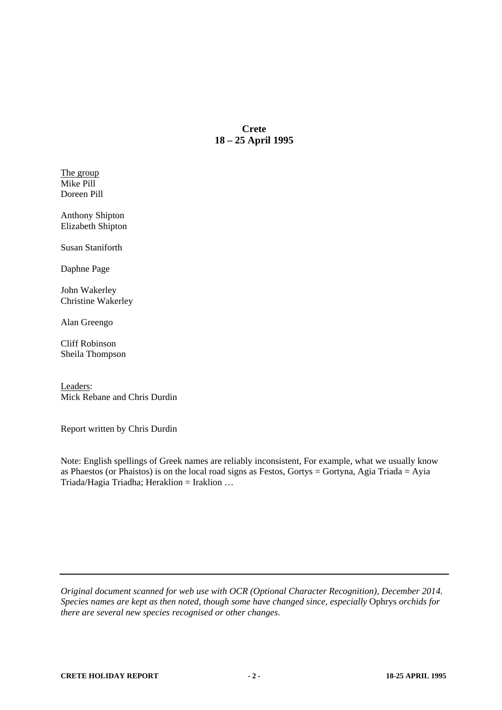# **Crete 18 – 25 April 1995**

The group Mike Pill Doreen Pill

Anthony Shipton Elizabeth Shipton

Susan Staniforth

Daphne Page

John Wakerley Christine Wakerley

Alan Greengo

Cliff Robinson Sheila Thompson

Leaders: Mick Rebane and Chris Durdin

Report written by Chris Durdin

Note: English spellings of Greek names are reliably inconsistent, For example, what we usually know as Phaestos (or Phaistos) is on the local road signs as Festos, Gortys = Gortyna, Agia Triada = Ayia Triada/Hagia Triadha; Heraklion = Iraklion …

*Original document scanned for web use with OCR (Optional Character Recognition), December 2014. Species names are kept as then noted, though some have changed since, especially* Ophrys *orchids for there are several new species recognised or other changes.*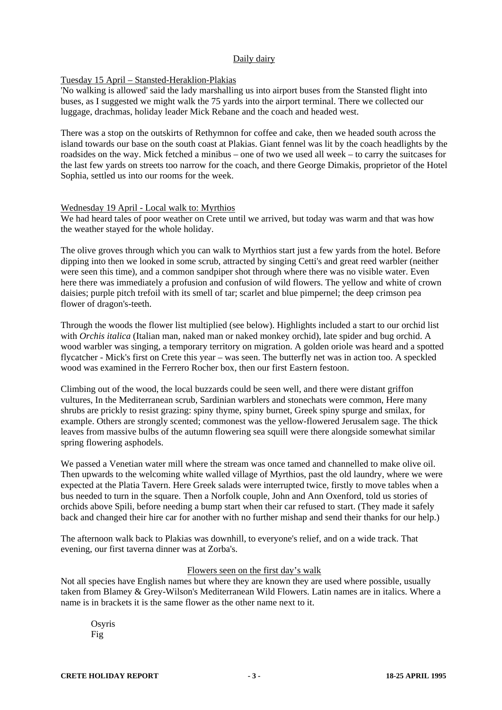# Daily dairy

# Tuesday 15 April – Stansted-Heraklion-Plakias

'No walking is allowed' said the lady marshalling us into airport buses from the Stansted flight into buses, as I suggested we might walk the 75 yards into the airport terminal. There we collected our luggage, drachmas, holiday leader Mick Rebane and the coach and headed west.

There was a stop on the outskirts of Rethymnon for coffee and cake, then we headed south across the island towards our base on the south coast at Plakias. Giant fennel was lit by the coach headlights by the roadsides on the way. Mick fetched a minibus – one of two we used all week – to carry the suitcases for the last few yards on streets too narrow for the coach, and there George Dimakis, proprietor of the Hotel Sophia, settled us into our rooms for the week.

# Wednesday 19 April - Local walk to: Myrthios

We had heard tales of poor weather on Crete until we arrived, but today was warm and that was how the weather stayed for the whole holiday.

The olive groves through which you can walk to Myrthios start just a few yards from the hotel. Before dipping into then we looked in some scrub, attracted by singing Cetti's and great reed warbler (neither were seen this time), and a common sandpiper shot through where there was no visible water. Even here there was immediately a profusion and confusion of wild flowers. The yellow and white of crown daisies; purple pitch trefoil with its smell of tar; scarlet and blue pimpernel; the deep crimson pea flower of dragon's-teeth.

Through the woods the flower list multiplied (see below). Highlights included a start to our orchid list with *Orchis italica* (Italian man, naked man or naked monkey orchid), late spider and bug orchid. A wood warbler was singing, a temporary territory on migration. A golden oriole was heard and a spotted flycatcher - Mick's first on Crete this year – was seen. The butterfly net was in action too. A speckled wood was examined in the Ferrero Rocher box, then our first Eastern festoon.

Climbing out of the wood, the local buzzards could be seen well, and there were distant griffon vultures, In the Mediterranean scrub, Sardinian warblers and stonechats were common, Here many shrubs are prickly to resist grazing: spiny thyme, spiny burnet, Greek spiny spurge and smilax, for example. Others are strongly scented; commonest was the yellow-flowered Jerusalem sage. The thick leaves from massive bulbs of the autumn flowering sea squill were there alongside somewhat similar spring flowering asphodels.

We passed a Venetian water mill where the stream was once tamed and channelled to make olive oil. Then upwards to the welcoming white walled village of Myrthios, past the old laundry, where we were expected at the Platia Tavern. Here Greek salads were interrupted twice, firstly to move tables when a bus needed to turn in the square. Then a Norfolk couple, John and Ann Oxenford, told us stories of orchids above Spili, before needing a bump start when their car refused to start. (They made it safely back and changed their hire car for another with no further mishap and send their thanks for our help.)

The afternoon walk back to Plakias was downhill, to everyone's relief, and on a wide track. That evening, our first taverna dinner was at Zorba's.

# Flowers seen on the first day's walk

Not all species have English names but where they are known they are used where possible, usually taken from Blamey & Grey-Wilson's Mediterranean Wild Flowers. Latin names are in italics. Where a name is in brackets it is the same flower as the other name next to it.

Osyris Fig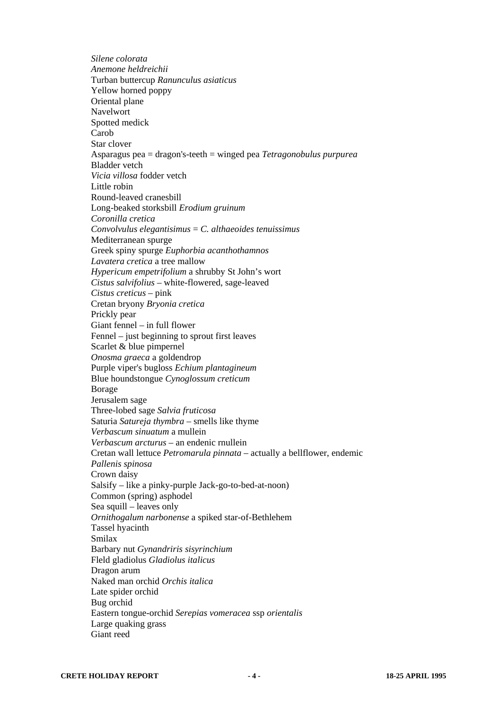*Silene colorata Anemone heldreichii*  Turban buttercup *Ranunculus asiaticus* Yellow horned poppy Oriental plane Navelwort Spotted medick Carob Star clover Asparagus pea = dragon's-teeth = winged pea *Tetragonobulus purpurea* Bladder vetch *Vicia villosa* fodder vetch Little robin Round-leaved cranesbill Long-beaked storksbill *Erodium gruinum Coronilla cretica Convolvulus elegantisimus* = *C. althaeoides tenuissimus*  Mediterranean spurge Greek spiny spurge *Euphorbia acanthothamnos Lavatera cretica* a tree mallow *Hypericum empetrifolium* a shrubby St John's wort *Cistus salvifolius* – white-flowered, sage-leaved *Cistus creticus* – pink Cretan bryony *Bryonia cretica* Prickly pear Giant fennel – in full flower Fennel – just beginning to sprout first leaves Scarlet & blue pimpernel *Onosma graeca* a goldendrop Purple viper's bugloss *Echium plantagineum* Blue houndstongue *Cynoglossum creticum* Borage Jerusalem sage Three-lobed sage *Salvia fruticosa* Saturia *Satureja thymbra* – smells like thyme *Verbascum sinuatum* a mullein *Verbascum arcturus* – an endenic rnullein Cretan wall lettuce *Petromarula pinnata* – actually a bellflower, endemic *Pallenis spinosa*  Crown daisy Salsify – like a pinky-purple Jack-go-to-bed-at-noon) Common (spring) asphodel Sea squill – leaves only *Ornithogalum narbonense* a spiked star-of-Bethlehem Tassel hyacinth Smilax Barbary nut *Gynandriris sisyrinchium* Fleld gladiolus *Gladiolus italicus* Dragon arum Naked man orchid *Orchis italica* Late spider orchid Bug orchid Eastern tongue-orchid *Serepias vomeracea* ssp *orientalis* Large quaking grass Giant reed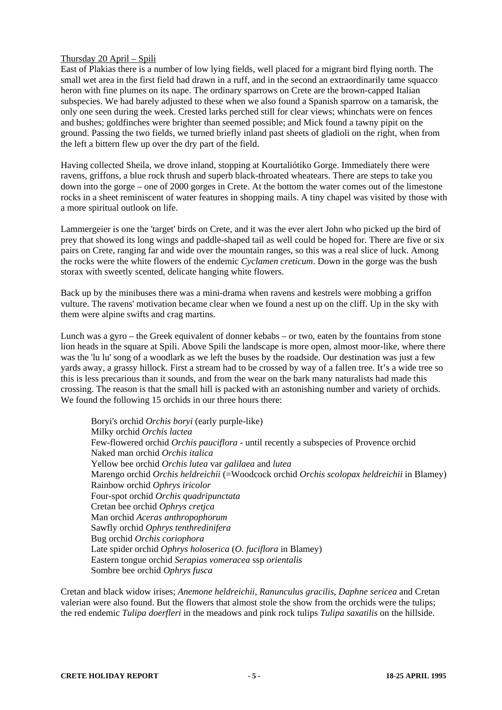# Thursday 20 April – Spili

East of Plakias there is a number of low lying fields, well placed for a migrant bird flying north. The small wet area in the first field had drawn in a ruff, and in the second an extraordinarily tame squacco heron with fine plumes on its nape. The ordinary sparrows on Crete are the brown-capped Italian subspecies. We had barely adjusted to these when we also found a Spanish sparrow on a tamarisk, the only one seen during the week. Crested larks perched still for clear views; whinchats were on fences and bushes; goldfinches were brighter than seemed possible; and Mick found a tawny pipit on the ground. Passing the two fields, we turned briefly inland past sheets of gladioli on the right, when from the left a bittern flew up over the dry part of the field.

Having collected Sheila, we drove inland, stopping at Kourtaliótiko Gorge. Immediately there were ravens, griffons, a blue rock thrush and superb black-throated wheatears. There are steps to take you down into the gorge – one of 2000 gorges in Crete. At the bottom the water comes out of the limestone rocks in a sheet reminiscent of water features in shopping mails. A tiny chapel was visited by those with a more spiritual outlook on life.

Lammergeier is one the 'target' birds on Crete, and it was the ever alert John who picked up the bird of prey that showed its long wings and paddle-shaped tail as well could be hoped for. There are five or six pairs on Crete, ranging far and wide over the mountain ranges, so this was a real slice of luck. Among the rocks were the white flowers of the endemic *Cyclamen creticum*. Down in the gorge was the bush storax with sweetly scented, delicate hanging white flowers.

Back up by the minibuses there was a mini-drama when ravens and kestrels were mobbing a griffon vulture. The ravens' motivation became clear when we found a nest up on the cliff. Up in the sky with them were alpine swifts and crag martins.

Lunch was a gyro – the Greek equivalent of donner kebabs – or two, eaten by the fountains from stone lion heads in the square at Spili. Above Spili the landscape is more open, almost moor-like, where there was the 'lu lu' song of a woodlark as we left the buses by the roadside. Our destination was just a few yards away, a grassy hillock. First a stream had to be crossed by way of a fallen tree. It's a wide tree so this is less precarious than it sounds, and from the wear on the bark many naturalists had made this crossing. The reason is that the small hill is packed with an astonishing number and variety of orchids. We found the following 15 orchids in our three hours there:

Boryi's orchid *Orchis boryi* (early purple-like) Milky orchid *Orchis lactea* Few-flowered orchid *Orchis pauciflora* - until recently a subspecies of Provence orchid Naked man orchid *Orchis italica* Yellow bee orchid *Orchis lutea* var *galilaea* and *lutea* Marengo orchid *Orchis heldreichii* (=Woodcock orchid *Orchis scolopax heldreichii* in Blamey) Rainbow orchid *Ophrys iricolor* Four-spot orchid *Orchis quadripunctata* Cretan bee orchid *Ophrys cretjca* Man orchid *Aceras anthropophorum* Sawfly orchid *Ophrys tenthredinifera* Bug orchid *Orchis coriophora* Late spider orchid *Ophrys holoserica* (*O. fuciflora* in Blamey) Eastern tongue orchid *Serapias vomeracea* ssp *orientalis* Sombre bee orchid *Ophrys fusca*

Cretan and black widow irises; *Anemone heldreichii*, *Ranunculus gracilis*, *Daphne sericea* and Cretan valerian were also found. But the flowers that almost stole the show from the orchids were the tulips; the red endemic *Tulipa doerfleri* in the meadows and pink rock tulips *Tulipa saxatilis* on the hillside.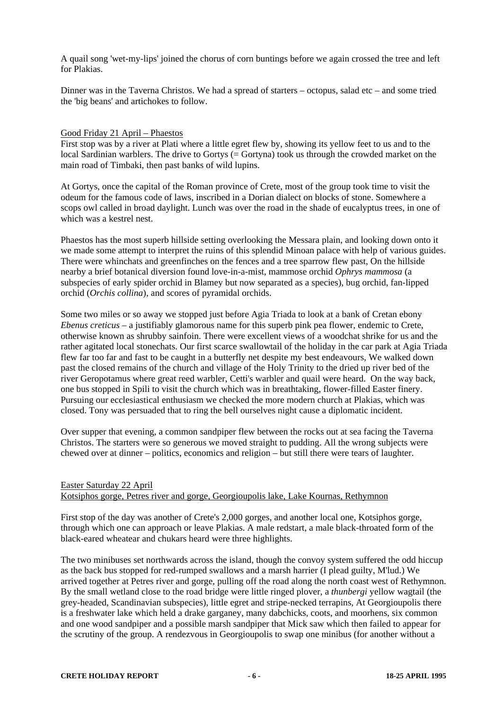A quail song 'wet-my-lips' joined the chorus of corn buntings before we again crossed the tree and left for Plakias.

Dinner was in the Taverna Christos. We had a spread of starters – octopus, salad etc – and some tried the 'big beans' and artichokes to follow.

#### Good Friday 21 April – Phaestos

First stop was by a river at Plati where a little egret flew by, showing its yellow feet to us and to the local Sardinian warblers. The drive to Gortys (= Gortyna) took us through the crowded market on the main road of Timbaki, then past banks of wild lupins.

At Gortys, once the capital of the Roman province of Crete, most of the group took time to visit the odeum for the famous code of laws, inscribed in a Dorian dialect on blocks of stone. Somewhere a scops owl called in broad daylight. Lunch was over the road in the shade of eucalyptus trees, in one of which was a kestrel nest.

Phaestos has the most superb hillside setting overlooking the Messara plain, and looking down onto it we made some attempt to interpret the ruins of this splendid Minoan palace with help of various guides. There were whinchats and greenfinches on the fences and a tree sparrow flew past, On the hillside nearby a brief botanical diversion found love-in-a-mist, mammose orchid *Ophrys mammosa* (a subspecies of early spider orchid in Blamey but now separated as a species), bug orchid, fan-lipped orchid (*Orchis collina*), and scores of pyramidal orchids.

Some two miles or so away we stopped just before Agia Triada to look at a bank of Cretan ebony *Ebenus creticus* – a justifiably glamorous name for this superb pink pea flower, endemic to Crete, otherwise known as shrubby sainfoin. There were excellent views of a woodchat shrike for us and the rather agitated local stonechats. Our first scarce swallowtail of the holiday in the car park at Agia Triada flew far too far and fast to be caught in a butterfly net despite my best endeavours, We walked down past the closed remains of the church and village of the Holy Trinity to the dried up river bed of the river Geropotamus where great reed warbler, Cetti's warbler and quail were heard. On the way back, one bus stopped in Spili to visit the church which was in breathtaking, flower-filled Easter finery. Pursuing our ecclesiastical enthusiasm we checked the more modern church at Plakias, which was closed. Tony was persuaded that to ring the bell ourselves night cause a diplomatic incident.

Over supper that evening, a common sandpiper flew between the rocks out at sea facing the Taverna Christos. The starters were so generous we moved straight to pudding. All the wrong subjects were chewed over at dinner – politics, economics and religion – but still there were tears of laughter.

# Easter Saturday 22 April Kotsiphos gorge, Petres river and gorge, Georgioupolis lake, Lake Kournas, Rethymnon

First stop of the day was another of Crete's 2,000 gorges, and another local one, Kotsiphos gorge, through which one can approach or leave Plakias. A male redstart, a male black-throated form of the black-eared wheatear and chukars heard were three highlights.

The two minibuses set northwards across the island, though the convoy system suffered the odd hiccup as the back bus stopped for red-rumped swallows and a marsh harrier (I plead guilty, M'lud.) We arrived together at Petres river and gorge, pulling off the road along the north coast west of Rethymnon. By the small wetland close to the road bridge were little ringed plover, a *thunbergi* yellow wagtail (the grey-headed, Scandinavian subspecies), little egret and stripe-necked terrapins, At Georgioupolis there is a freshwater lake which held a drake garganey, many dabchicks, coots, and moorhens, six common and one wood sandpiper and a possible marsh sandpiper that Mick saw which then failed to appear for the scrutiny of the group. A rendezvous in Georgioupolis to swap one minibus (for another without a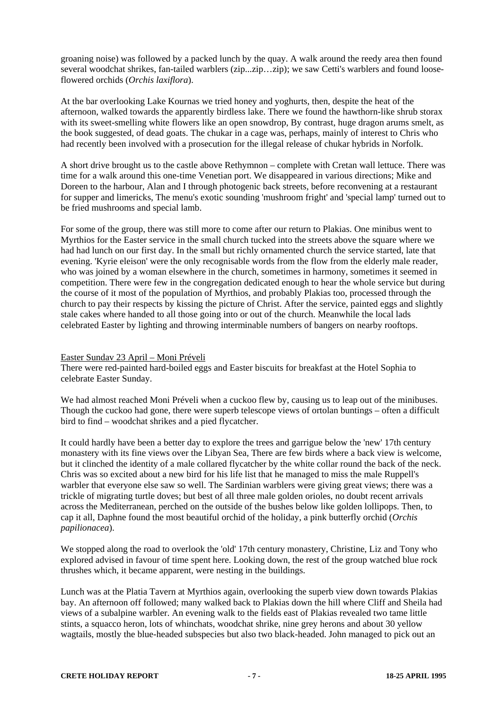groaning noise) was followed by a packed lunch by the quay. A walk around the reedy area then found several woodchat shrikes, fan-tailed warblers (zip...zip...zip); we saw Cetti's warblers and found looseflowered orchids (*Orchis laxiflora*).

At the bar overlooking Lake Kournas we tried honey and yoghurts, then, despite the heat of the afternoon, walked towards the apparently birdless lake. There we found the hawthorn-like shrub storax with its sweet-smelling white flowers like an open snowdrop, By contrast, huge dragon arums smelt, as the book suggested, of dead goats. The chukar in a cage was, perhaps, mainly of interest to Chris who had recently been involved with a prosecution for the illegal release of chukar hybrids in Norfolk.

A short drive brought us to the castle above Rethymnon – complete with Cretan wall lettuce. There was time for a walk around this one-time Venetian port. We disappeared in various directions; Mike and Doreen to the harbour, Alan and I through photogenic back streets, before reconvening at a restaurant for supper and limericks, The menu's exotic sounding 'mushroom fright' and 'special lamp' turned out to be fried mushrooms and special lamb.

For some of the group, there was still more to come after our return to Plakias. One minibus went to Myrthios for the Easter service in the small church tucked into the streets above the square where we had had lunch on our first day. In the small but richly ornamented church the service started, late that evening. 'Kyrie eleison' were the only recognisable words from the flow from the elderly male reader, who was joined by a woman elsewhere in the church, sometimes in harmony, sometimes it seemed in competition. There were few in the congregation dedicated enough to hear the whole service but during the course of it most of the population of Myrthios, and probably Plakias too, processed through the church to pay their respects by kissing the picture of Christ. After the service, painted eggs and slightly stale cakes where handed to all those going into or out of the church. Meanwhile the local lads celebrated Easter by lighting and throwing interminable numbers of bangers on nearby rooftops.

# Easter Sundav 23 April – Moni Préveli

There were red-painted hard-boiled eggs and Easter biscuits for breakfast at the Hotel Sophia to celebrate Easter Sunday.

We had almost reached Moni Préveli when a cuckoo flew by, causing us to leap out of the minibuses. Though the cuckoo had gone, there were superb telescope views of ortolan buntings – often a difficult bird to find – woodchat shrikes and a pied flycatcher.

It could hardly have been a better day to explore the trees and garrigue below the 'new' 17th century monastery with its fine views over the Libyan Sea, There are few birds where a back view is welcome, but it clinched the identity of a male collared flycatcher by the white collar round the back of the neck. Chris was so excited about a new bird for his life list that he managed to miss the male Ruppell's warbler that everyone else saw so well. The Sardinian warblers were giving great views; there was a trickle of migrating turtle doves; but best of all three male golden orioles, no doubt recent arrivals across the Mediterranean, perched on the outside of the bushes below like golden lollipops. Then, to cap it all, Daphne found the most beautiful orchid of the holiday, a pink butterfly orchid (*Orchis papilionacea*).

We stopped along the road to overlook the 'old' 17th century monastery, Christine, Liz and Tony who explored advised in favour of time spent here. Looking down, the rest of the group watched blue rock thrushes which, it became apparent, were nesting in the buildings.

Lunch was at the Platia Tavern at Myrthios again, overlooking the superb view down towards Plakias bay. An afternoon off followed; many walked back to Plakias down the hill where Cliff and Sheila had views of a subalpine warbler. An evening walk to the fields east of Plakias revealed two tame little stints, a squacco heron, lots of whinchats, woodchat shrike, nine grey herons and about 30 yellow wagtails, mostly the blue-headed subspecies but also two black-headed. John managed to pick out an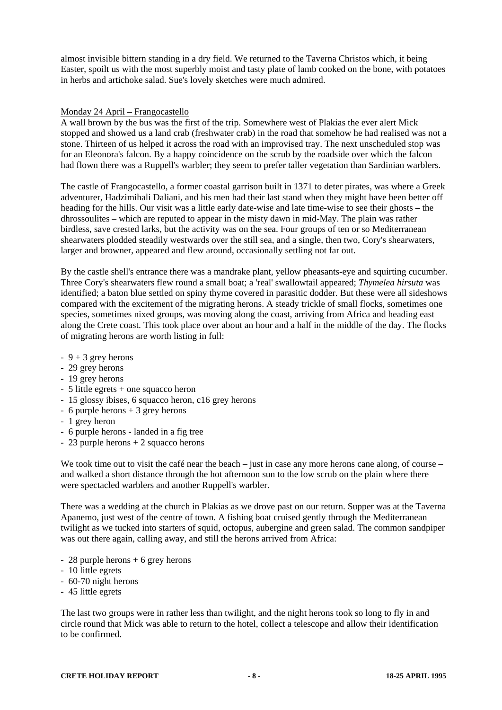almost invisible bittern standing in a dry field. We returned to the Taverna Christos which, it being Easter, spoilt us with the most superbly moist and tasty plate of lamb cooked on the bone, with potatoes in herbs and artichoke salad. Sue's lovely sketches were much admired.

#### Monday 24 April – Frangocastello

A wall brown by the bus was the first of the trip. Somewhere west of Plakias the ever alert Mick stopped and showed us a land crab (freshwater crab) in the road that somehow he had realised was not a stone. Thirteen of us helped it across the road with an improvised tray. The next unscheduled stop was for an Eleonora's falcon. By a happy coincidence on the scrub by the roadside over which the falcon had flown there was a Ruppell's warbler; they seem to prefer taller vegetation than Sardinian warblers.

The castle of Frangocastello, a former coastal garrison built in 1371 to deter pirates, was where a Greek adventurer, Hadzimihali Daliani, and his men had their last stand when they might have been better off heading for the hills. Our visit was a little early date-wise and late time-wise to see their ghosts – the dhrossoulites – which are reputed to appear in the misty dawn in mid-May. The plain was rather birdless, save crested larks, but the activity was on the sea. Four groups of ten or so Mediterranean shearwaters plodded steadily westwards over the still sea, and a single, then two, Cory's shearwaters, larger and browner, appeared and flew around, occasionally settling not far out.

By the castle shell's entrance there was a mandrake plant, yellow pheasants-eye and squirting cucumber. Three Cory's shearwaters flew round a small boat; a 'real' swallowtail appeared; *Thymelea hirsuta* was identified; a baton blue settled on spiny thyme covered in parasitic dodder. But these were all sideshows compared with the excitement of the migrating herons. A steady trickle of small flocks, sometimes one species, sometimes nixed groups, was moving along the coast, arriving from Africa and heading east along the Crete coast. This took place over about an hour and a half in the middle of the day. The flocks of migrating herons are worth listing in full:

- $-9 + 3$  grey herons
- 29 grey herons
- 19 grey herons
- 5 little egrets + one squacco heron
- 15 glossy ibises, 6 squacco heron, c16 grey herons
- $-6$  purple herons  $+3$  grey herons
- 1 grey heron
- 6 purple herons landed in a fig tree
- $-23$  purple herons  $+2$  squacco herons

We took time out to visit the café near the beach – just in case any more herons cane along, of course – and walked a short distance through the hot afternoon sun to the low scrub on the plain where there were spectacled warblers and another Ruppell's warbler.

There was a wedding at the church in Plakias as we drove past on our return. Supper was at the Taverna Apanemo, just west of the centre of town. A fishing boat cruised gently through the Mediterranean twilight as we tucked into starters of squid, octopus, aubergine and green salad. The common sandpiper was out there again, calling away, and still the herons arrived from Africa:

- $-28$  purple herons  $+6$  grey herons
- 10 little egrets
- 60-70 night herons
- 45 little egrets

The last two groups were in rather less than twilight, and the night herons took so long to fly in and circle round that Mick was able to return to the hotel, collect a telescope and allow their identification to be confirmed.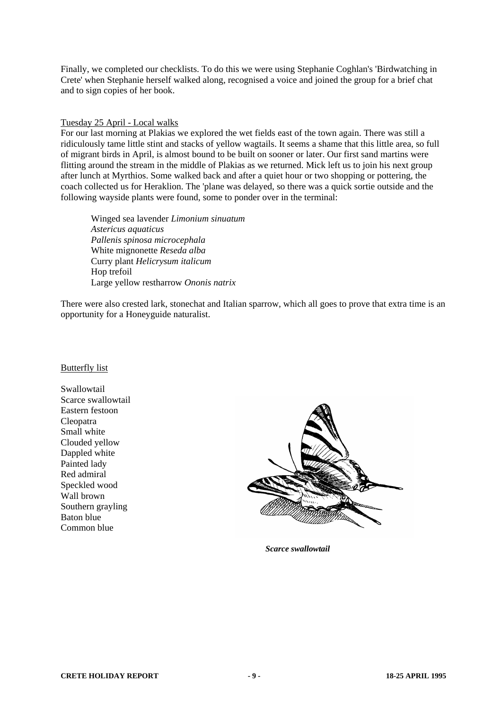Finally, we completed our checklists. To do this we were using Stephanie Coghlan's 'Birdwatching in Crete' when Stephanie herself walked along, recognised a voice and joined the group for a brief chat and to sign copies of her book.

# Tuesday 25 April - Local walks

For our last morning at Plakias we explored the wet fields east of the town again. There was still a ridiculously tame little stint and stacks of yellow wagtails. It seems a shame that this little area, so full of migrant birds in April, is almost bound to be built on sooner or later. Our first sand martins were flitting around the stream in the middle of Plakias as we returned. Mick left us to join his next group after lunch at Myrthios. Some walked back and after a quiet hour or two shopping or pottering, the coach collected us for Heraklion. The 'plane was delayed, so there was a quick sortie outside and the following wayside plants were found, some to ponder over in the terminal:

Winged sea lavender *Limonium sinuatum Astericus aquaticus Pallenis spinosa microcephala*  White mignonette *Reseda alba* Curry plant *Helicrysum italicum* Hop trefoil Large yellow restharrow *Ononis natrix*

There were also crested lark, stonechat and Italian sparrow, which all goes to prove that extra time is an opportunity for a Honeyguide naturalist.

# Butterfly list

Swallowtail Scarce swallowtail Eastern festoon Cleopatra Small white Clouded yellow Dappled white Painted lady Red admiral Speckled wood Wall brown Southern grayling Baton blue Common blue



*Scarce swallowtail*